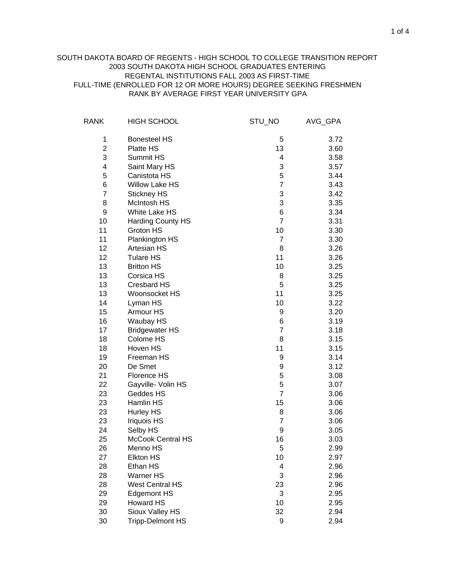## RANK BY AVERAGE FIRST YEAR UNIVERSITY GPA SOUTH DAKOTA BOARD OF REGENTS - HIGH SCHOOL TO COLLEGE TRANSITION REPORT 2003 SOUTH DAKOTA HIGH SCHOOL GRADUATES ENTERING REGENTAL INSTITUTIONS FALL 2003 AS FIRST-TIME FULL-TIME (ENROLLED FOR 12 OR MORE HOURS) DEGREE SEEKING FRESHMEN

| <b>RANK</b>    | <b>HIGH SCHOOL</b>       | STU_NO         | AVG_GPA |
|----------------|--------------------------|----------------|---------|
| 1              | <b>Bonesteel HS</b>      | 5              | 3.72    |
| $\overline{2}$ | Platte HS                | 13             | 3.60    |
| 3              | Summit HS                | 4              | 3.58    |
| 4              | Saint Mary HS            | 3              | 3.57    |
| 5              | Canistota HS             | 5              | 3.44    |
| 6              | <b>Willow Lake HS</b>    | $\overline{7}$ | 3.43    |
| $\overline{7}$ | Stickney HS              | 3              | 3.42    |
| 8              | <b>McIntosh HS</b>       | 3              | 3.35    |
| 9              | White Lake HS            | 6              | 3.34    |
| 10             | <b>Harding County HS</b> | $\overline{7}$ | 3.31    |
| 11             | Groton HS                | 10             | 3.30    |
| 11             | Plankington HS           | 7              | 3.30    |
| 12             | <b>Artesian HS</b>       | 8              | 3.26    |
| 12             | <b>Tulare HS</b>         | 11             | 3.26    |
| 13             | <b>Britton HS</b>        | 10             | 3.25    |
| 13             | Corsica HS               | 8              | 3.25    |
| 13             | <b>Cresbard HS</b>       | 5              | 3.25    |
| 13             | Woonsocket HS            | 11             | 3.25    |
| 14             | Lyman HS                 | 10             | 3.22    |
| 15             | Armour HS                | 9              | 3.20    |
| 16             | Waubay HS                | 6              | 3.19    |
| 17             | <b>Bridgewater HS</b>    | $\overline{7}$ | 3.18    |
| 18             | Colome HS                | 8              | 3.15    |
| 18             | Hoven HS                 | 11             | 3.15    |
| 19             | Freeman HS               | 9              | 3.14    |
| 20             | De Smet                  | 9              | 3.12    |
| 21             | <b>Florence HS</b>       | 5              | 3.08    |
| 22             | Gayville- Volin HS       | 5              | 3.07    |
| 23             | Geddes HS                | $\overline{7}$ | 3.06    |
| 23             | Hamlin HS                | 15             | 3.06    |
| 23             | <b>Hurley HS</b>         | 8              | 3.06    |
| 23             | <b>Iriquois HS</b>       | $\overline{7}$ | 3.06    |
| 24             | Selby HS                 | 9              | 3.05    |
| 25             | <b>McCook Central HS</b> | 16             | 3.03    |
| 26             | Menno HS                 | 5              | 2.99    |
| 27             | <b>Elkton HS</b>         | 10             | 2.97    |
| 28             | Ethan HS                 | 4              | 2.96    |
| 28             | Warner HS                | 3              | 2.96    |
| 28             | <b>West Central HS</b>   | 23             | 2.96    |
| 29             | <b>Edgemont HS</b>       | 3              | 2.95    |
| 29             | <b>Howard HS</b>         | 10             | 2.95    |
| 30             | Sioux Valley HS          | 32             | 2.94    |
| 30             | <b>Tripp-Delmont HS</b>  | 9              | 2.94    |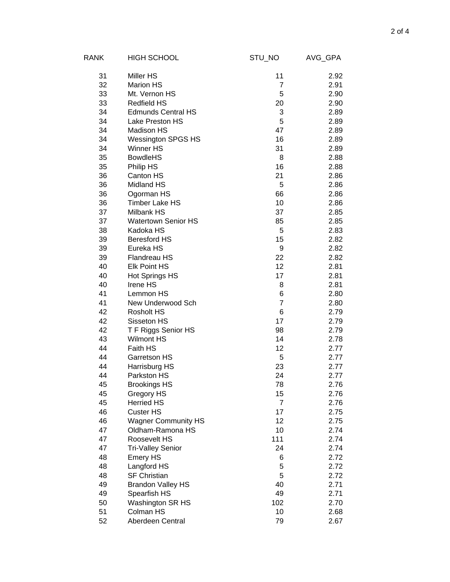| RANK | <b>HIGH SCHOOL</b>         | STU_NO         | AVG_GPA |
|------|----------------------------|----------------|---------|
| 31   | <b>Miller HS</b>           | 11             | 2.92    |
| 32   | <b>Marion HS</b>           | 7              | 2.91    |
| 33   | Mt. Vernon HS              | 5              | 2.90    |
| 33   | <b>Redfield HS</b>         | 20             | 2.90    |
| 34   | <b>Edmunds Central HS</b>  | 3              | 2.89    |
| 34   | Lake Preston HS            | 5              | 2.89    |
| 34   | Madison HS                 | 47             | 2.89    |
| 34   | <b>Wessington SPGS HS</b>  | 16             | 2.89    |
| 34   | Winner HS                  | 31             | 2.89    |
| 35   | <b>BowdleHS</b>            | 8              | 2.88    |
| 35   | Philip HS                  | 16             | 2.88    |
| 36   | Canton HS                  | 21             | 2.86    |
| 36   | Midland HS                 | 5              | 2.86    |
| 36   | Ogorman HS                 | 66             | 2.86    |
| 36   | <b>Timber Lake HS</b>      | 10             | 2.86    |
| 37   | <b>Milbank HS</b>          | 37             | 2.85    |
| 37   | <b>Watertown Senior HS</b> | 85             | 2.85    |
| 38   | Kadoka HS                  | 5              | 2.83    |
| 39   | <b>Beresford HS</b>        | 15             | 2.82    |
| 39   | Eureka HS                  | 9              | 2.82    |
| 39   | Flandreau HS               | 22             | 2.82    |
| 40   | <b>Elk Point HS</b>        | 12             | 2.81    |
| 40   | <b>Hot Springs HS</b>      | 17             | 2.81    |
| 40   | Irene HS                   | 8              | 2.81    |
| 41   | Lemmon HS                  | 6              | 2.80    |
| 41   | New Underwood Sch          | $\overline{7}$ | 2.80    |
| 42   | <b>Rosholt HS</b>          | 6              | 2.79    |
| 42   | Sisseton HS                | 17             | 2.79    |
| 42   | T F Riggs Senior HS        | 98             | 2.79    |
| 43   | <b>Wilmont HS</b>          | 14             | 2.78    |
| 44   | Faith HS                   | 12             | 2.77    |
| 44   | Garretson HS               | 5              | 2.77    |
| 44   | Harrisburg HS              | 23             | 2.77    |
| 44   | Parkston HS                | 24             | 2.77    |
| 45   | <b>Brookings HS</b>        | 78             | 2.76    |
| 45   | Gregory HS                 | 15             | 2.76    |
| 45   | <b>Herried HS</b>          | $\overline{7}$ | 2.76    |
| 46   | Custer HS                  | 17             | 2.75    |
| 46   | <b>Wagner Community HS</b> | 12             | 2.75    |
| 47   | Oldham-Ramona HS           | 10             | 2.74    |
| 47   | Roosevelt HS               | 111            | 2.74    |
| 47   | <b>Tri-Valley Senior</b>   | 24             | 2.74    |
| 48   | <b>Emery HS</b>            | 6              | 2.72    |
| 48   | Langford HS                | 5              | 2.72    |
| 48   | <b>SF Christian</b>        | 5              | 2.72    |
| 49   | <b>Brandon Valley HS</b>   | 40             | 2.71    |
| 49   | Spearfish HS               | 49             | 2.71    |
| 50   | Washington SR HS           | 102            | 2.70    |
| 51   | Colman HS                  | 10             | 2.68    |
| 52   | Aberdeen Central           | 79             | 2.67    |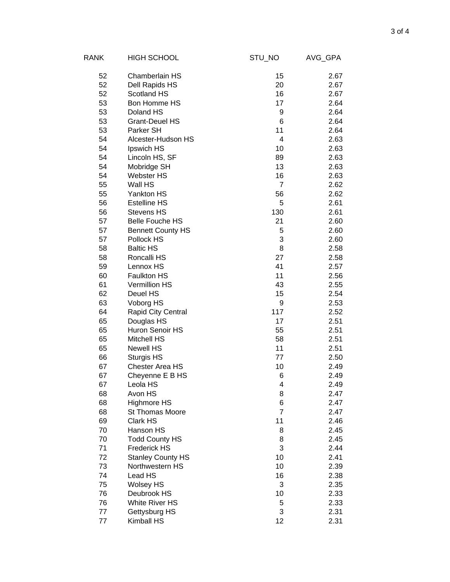| RANK     | <b>HIGH SCHOOL</b>       | STU_NO         | AVG_GPA      |
|----------|--------------------------|----------------|--------------|
| 52       | Chamberlain HS           | 15             | 2.67         |
| 52       | Dell Rapids HS           | 20             | 2.67         |
| 52       | Scotland HS              | 16             | 2.67         |
| 53       | Bon Homme HS             | 17             | 2.64         |
| 53       | Doland HS                | 9              | 2.64         |
| 53       | <b>Grant-Deuel HS</b>    | 6              | 2.64         |
| 53       | Parker SH                | 11             | 2.64         |
| 54       | Alcester-Hudson HS       | 4              | 2.63         |
| 54       | Ipswich HS               | 10             | 2.63         |
| 54       | Lincoln HS, SF           | 89             | 2.63         |
| 54       | Mobridge SH              | 13             | 2.63         |
| 54       | <b>Webster HS</b>        | 16             | 2.63         |
| 55       | Wall HS                  | $\overline{7}$ | 2.62         |
| 55       | Yankton HS               | 56             | 2.62         |
| 56       | <b>Estelline HS</b>      | 5              | 2.61         |
| 56       | <b>Stevens HS</b>        | 130            | 2.61         |
| 57       | <b>Belle Fouche HS</b>   | 21             | 2.60         |
| 57       | <b>Bennett County HS</b> | 5              | 2.60         |
| 57       | Pollock HS               | 3              | 2.60         |
| 58       | <b>Baltic HS</b>         | 8              | 2.58         |
| 58       | Roncalli HS              | 27             | 2.58         |
| 59       | Lennox HS                | 41             | 2.57         |
| 60       | Faulkton HS              | 11             | 2.56         |
| 61       | <b>Vermillion HS</b>     | 43             | 2.55         |
| 62       | Deuel HS                 | 15             | 2.54         |
| 63       | Voborg HS                | 9              | 2.53         |
| 64       | Rapid City Central       | 117            | 2.52         |
| 65       | Douglas HS               | 17             | 2.51         |
| 65       | Huron Senoir HS          | 55             | 2.51         |
| 65       | <b>Mitchell HS</b>       | 58             | 2.51         |
| 65       | Newell HS                | 11             | 2.51         |
| 66       | <b>Sturgis HS</b>        | 77             | 2.50         |
| 67       | <b>Chester Area HS</b>   | 10             | 2.49         |
| 67       | Cheyenne E B HS          | 6              | 2.49         |
| 67       | Leola HS<br>Avon HS      | 4<br>8         | 2.49         |
| 68<br>68 | <b>Highmore HS</b>       | 6              | 2.47<br>2.47 |
| 68       | St Thomas Moore          | $\overline{7}$ | 2.47         |
| 69       | Clark HS                 | 11             | 2.46         |
| 70       | Hanson HS                | 8              | 2.45         |
| 70       | <b>Todd County HS</b>    | 8              | 2.45         |
| 71       | <b>Frederick HS</b>      | 3              | 2.44         |
| 72       | <b>Stanley County HS</b> | 10             | 2.41         |
| 73       | Northwestern HS          | 10             | 2.39         |
| 74       | Lead HS                  | 16             | 2.38         |
| 75       | <b>Wolsey HS</b>         | 3              | 2.35         |
| 76       | Deubrook HS              | 10             | 2.33         |
| 76       | White River HS           | 5              | 2.33         |
| 77       | Gettysburg HS            | 3              | 2.31         |
| 77       | Kimball HS               | 12             | 2.31         |
|          |                          |                |              |